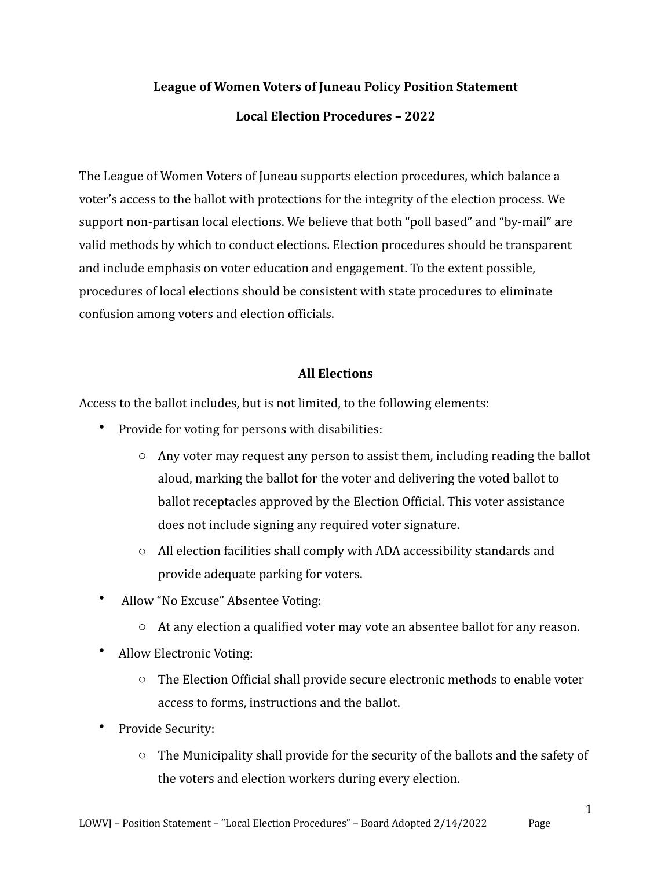# League of Women Voters of Juneau Policy Position Statement

### **Local Election Procedures – 2022**

The League of Women Voters of Juneau supports election procedures, which balance a voter's access to the ballot with protections for the integrity of the election process. We support non-partisan local elections. We believe that both "poll based" and "by-mail" are valid methods by which to conduct elections. Election procedures should be transparent and include emphasis on voter education and engagement. To the extent possible, procedures of local elections should be consistent with state procedures to eliminate confusion among voters and election officials.

### **All Elections**

Access to the ballot includes, but is not limited, to the following elements:

- Provide for voting for persons with disabilities:
	- $\circ$  Any voter may request any person to assist them, including reading the ballot aloud, marking the ballot for the voter and delivering the voted ballot to ballot receptacles approved by the Election Official. This voter assistance does not include signing any required voter signature.
	- $\circ$  All election facilities shall comply with ADA accessibility standards and provide adequate parking for voters.
- Allow "No Excuse" Absentee Voting:
	- $\circ$  At any election a qualified voter may vote an absentee ballot for any reason.
- Allow Electronic Voting:
	- $\circ$  The Election Official shall provide secure electronic methods to enable voter access to forms, instructions and the ballot.
- Provide Security:
	- $\circ$  The Municipality shall provide for the security of the ballots and the safety of the voters and election workers during every election.

1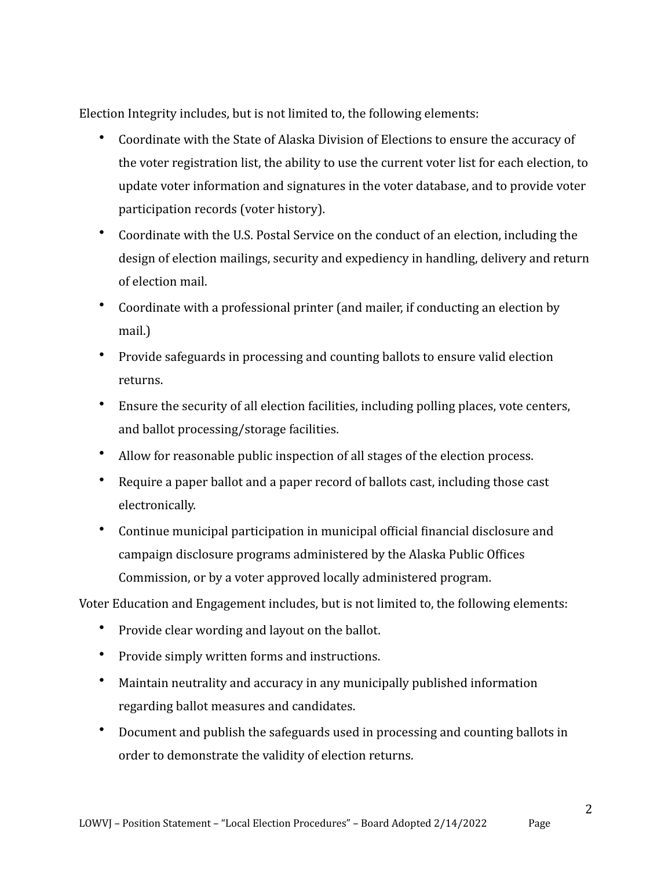Election Integrity includes, but is not limited to, the following elements:

- Coordinate with the State of Alaska Division of Elections to ensure the accuracy of the voter registration list, the ability to use the current voter list for each election, to update voter information and signatures in the voter database, and to provide voter participation records (voter history).
- Coordinate with the U.S. Postal Service on the conduct of an election, including the design of election mailings, security and expediency in handling, delivery and return of election mail.
- Coordinate with a professional printer (and mailer, if conducting an election by mail.)
- Provide safeguards in processing and counting ballots to ensure valid election returns.
- Ensure the security of all election facilities, including polling places, vote centers, and ballot processing/storage facilities.
- Allow for reasonable public inspection of all stages of the election process.
- Require a paper ballot and a paper record of ballots cast, including those cast electronically.
- Continue municipal participation in municipal official financial disclosure and campaign disclosure programs administered by the Alaska Public Offices Commission, or by a voter approved locally administered program.

Voter Education and Engagement includes, but is not limited to, the following elements:

- Provide clear wording and layout on the ballot.
- Provide simply written forms and instructions.
- Maintain neutrality and accuracy in any municipally published information regarding ballot measures and candidates.
- Document and publish the safeguards used in processing and counting ballots in order to demonstrate the validity of election returns.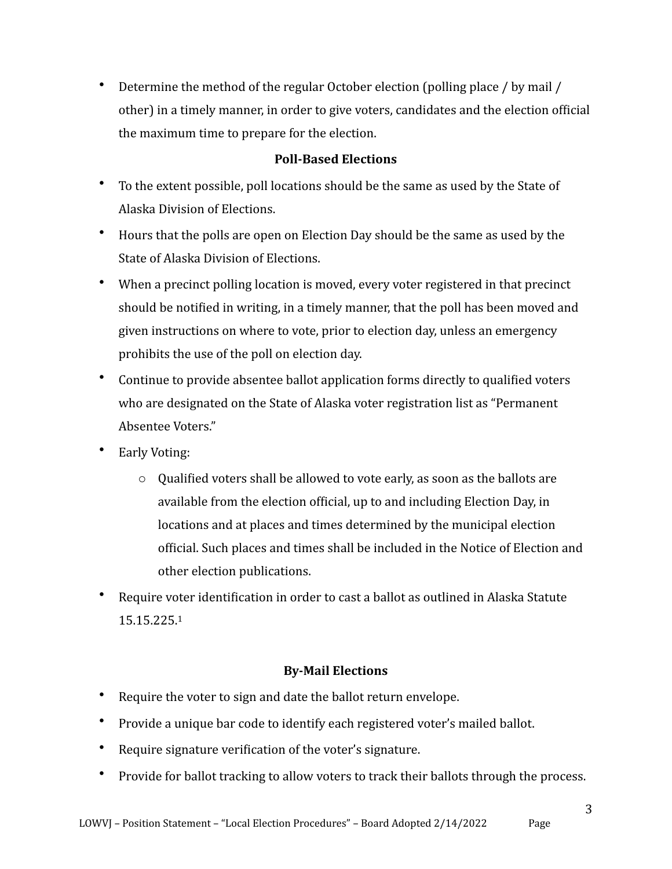• Determine the method of the regular October election (polling place  $\prime$  by mail  $\prime$ other) in a timely manner, in order to give voters, candidates and the election official the maximum time to prepare for the election.

## **Poll-Based Elections**

- To the extent possible, poll locations should be the same as used by the State of Alaska Division of Elections.
- Hours that the polls are open on Election Day should be the same as used by the State of Alaska Division of Elections.
- When a precinct polling location is moved, every voter registered in that precinct should be notified in writing, in a timely manner, that the poll has been moved and given instructions on where to vote, prior to election day, unless an emergency prohibits the use of the poll on election day.
- Continue to provide absentee ballot application forms directly to qualified voters who are designated on the State of Alaska voter registration list as "Permanent Absentee Voters."
- Early Voting:
	- $\circ$  Qualified voters shall be allowed to vote early, as soon as the ballots are available from the election official, up to and including Election Day, in locations and at places and times determined by the municipal election official. Such places and times shall be included in the Notice of Election and other election publications.
- <span id="page-2-0"></span>Require voter identification in order to cast a ballot as outlined in Alaska Statute 15.15.225.[1](#page-3-0)

# **By-Mail Elections**

- Require the voter to sign and date the ballot return envelope.
- Provide a unique bar code to identify each registered voter's mailed ballot.
- Require signature verification of the voter's signature.
- Provide for ballot tracking to allow voters to track their ballots through the process.